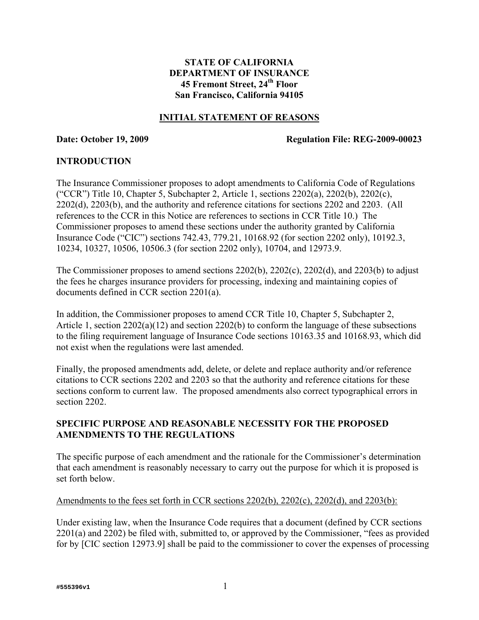# **STATE OF CALIFORNIA DEPARTMENT OF INSURANCE 45 Fremont Street, 24th Floor San Francisco, California 94105**

#### **INITIAL STATEMENT OF REASONS**

#### **Date: October 19, 2009 Regulation File: REG-2009-00023**

## **INTRODUCTION**

The Insurance Commissioner proposes to adopt amendments to California Code of Regulations ("CCR") Title 10, Chapter 5, Subchapter 2, Article 1, sections 2202(a), 2202(b), 2202(c), 2202(d), 2203(b), and the authority and reference citations for sections 2202 and 2203. (All references to the CCR in this Notice are references to sections in CCR Title 10.) The Commissioner proposes to amend these sections under the authority granted by California Insurance Code ("CIC") sections 742.43, 779.21, 10168.92 (for section 2202 only), 10192.3, 10234, 10327, 10506, 10506.3 (for section 2202 only), 10704, and 12973.9.

The Commissioner proposes to amend sections 2202(b), 2202(c), 2202(d), and 2203(b) to adjust the fees he charges insurance providers for processing, indexing and maintaining copies of documents defined in CCR section 2201(a).

In addition, the Commissioner proposes to amend CCR Title 10, Chapter 5, Subchapter 2, Article 1, section 2202(a)(12) and section 2202(b) to conform the language of these subsections to the filing requirement language of Insurance Code sections 10163.35 and 10168.93, which did not exist when the regulations were last amended.

Finally, the proposed amendments add, delete, or delete and replace authority and/or reference citations to CCR sections 2202 and 2203 so that the authority and reference citations for these sections conform to current law. The proposed amendments also correct typographical errors in section 2202.

# **SPECIFIC PURPOSE AND REASONABLE NECESSITY FOR THE PROPOSED AMENDMENTS TO THE REGULATIONS**

The specific purpose of each amendment and the rationale for the Commissioner's determination that each amendment is reasonably necessary to carry out the purpose for which it is proposed is set forth below.

#### Amendments to the fees set forth in CCR sections 2202(b), 2202(c), 2202(d), and 2203(b):

Under existing law, when the Insurance Code requires that a document (defined by CCR sections 2201(a) and 2202) be filed with, submitted to, or approved by the Commissioner, "fees as provided for by [CIC section 12973.9] shall be paid to the commissioner to cover the expenses of processing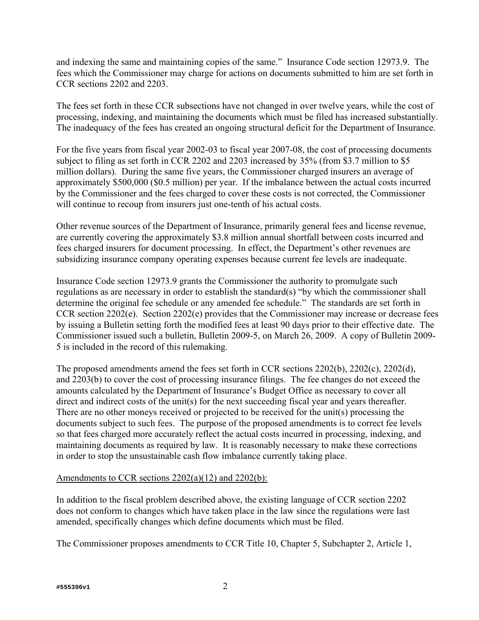and indexing the same and maintaining copies of the same." Insurance Code section 12973.9. The fees which the Commissioner may charge for actions on documents submitted to him are set forth in CCR sections 2202 and 2203.

The fees set forth in these CCR subsections have not changed in over twelve years, while the cost of processing, indexing, and maintaining the documents which must be filed has increased substantially. The inadequacy of the fees has created an ongoing structural deficit for the Department of Insurance.

For the five years from fiscal year 2002-03 to fiscal year 2007-08, the cost of processing documents subject to filing as set forth in CCR 2202 and 2203 increased by 35% (from \$3.7 million to \$5 million dollars). During the same five years, the Commissioner charged insurers an average of approximately \$500,000 (\$0.5 million) per year. If the imbalance between the actual costs incurred by the Commissioner and the fees charged to cover these costs is not corrected, the Commissioner will continue to recoup from insurers just one-tenth of his actual costs.

Other revenue sources of the Department of Insurance, primarily general fees and license revenue, are currently covering the approximately \$3.8 million annual shortfall between costs incurred and fees charged insurers for document processing. In effect, the Department's other revenues are subsidizing insurance company operating expenses because current fee levels are inadequate.

Insurance Code section 12973.9 grants the Commissioner the authority to promulgate such regulations as are necessary in order to establish the standard(s) "by which the commissioner shall determine the original fee schedule or any amended fee schedule." The standards are set forth in CCR section 2202(e). Section 2202(e) provides that the Commissioner may increase or decrease fees by issuing a Bulletin setting forth the modified fees at least 90 days prior to their effective date. The Commissioner issued such a bulletin, Bulletin 2009-5, on March 26, 2009. A copy of Bulletin 2009- 5 is included in the record of this rulemaking.

The proposed amendments amend the fees set forth in CCR sections 2202(b), 2202(c), 2202(d), and 2203(b) to cover the cost of processing insurance filings. The fee changes do not exceed the amounts calculated by the Department of Insurance's Budget Office as necessary to cover all direct and indirect costs of the unit(s) for the next succeeding fiscal year and years thereafter. There are no other moneys received or projected to be received for the unit(s) processing the documents subject to such fees. The purpose of the proposed amendments is to correct fee levels so that fees charged more accurately reflect the actual costs incurred in processing, indexing, and maintaining documents as required by law. It is reasonably necessary to make these corrections in order to stop the unsustainable cash flow imbalance currently taking place.

# Amendments to CCR sections 2202(a)(12) and 2202(b):

In addition to the fiscal problem described above, the existing language of CCR section 2202 does not conform to changes which have taken place in the law since the regulations were last amended, specifically changes which define documents which must be filed.

The Commissioner proposes amendments to CCR Title 10, Chapter 5, Subchapter 2, Article 1,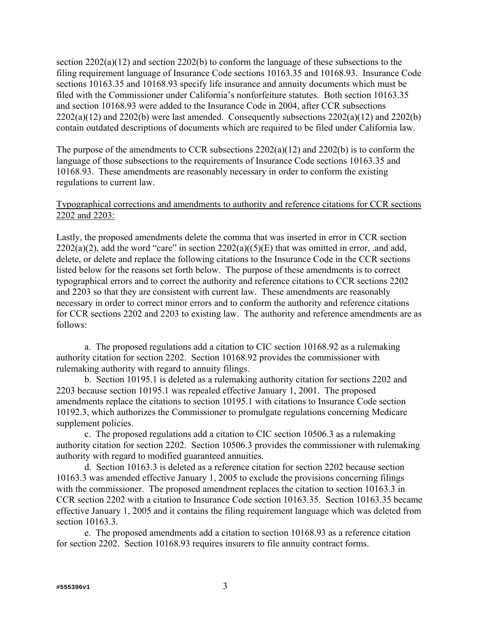section  $2202(a)(12)$  and section  $2202(b)$  to conform the language of these subsections to the filing requirement language of Insurance Code sections 10163.35 and 10168.93. Insurance Code sections 10163.35 and 10168.93 specify life insurance and annuity documents which must be filed with the Commissioner under California's nonforfeiture statutes. Both section 10163.35 and section 10168.93 were added to the Insurance Code in 2004, after CCR subsections  $2202(a)(12)$  and  $2202(b)$  were last amended. Consequently subsections  $2202(a)(12)$  and  $2202(b)$ contain outdated descriptions of documents which are required to be filed under California law.

The purpose of the amendments to CCR subsections 2202(a)(12) and 2202(b) is to conform the language of those subsections to the requirements of Insurance Code sections 10163.35 and 10168.93. These amendments are reasonably necessary in order to conform the existing regulations to current law.

# Typographical corrections and amendments to authority and reference citations for CCR sections 2202 and 2203:

Lastly, the proposed amendments delete the comma that was inserted in error in CCR section  $2202(a)(2)$ , add the word "care" in section  $2202(a)((5)(E))$  that was omitted in error, .and add, delete, or delete and replace the following citations to the Insurance Code in the CCR sections listed below for the reasons set forth below. The purpose of these amendments is to correct typographical errors and to correct the authority and reference citations to CCR sections 2202 and 2203 so that they are consistent with current law. These amendments are reasonably necessary in order to correct minor errors and to conform the authority and reference citations for CCR sections 2202 and 2203 to existing law. The authority and reference amendments are as follows:

 a. The proposed regulations add a citation to CIC section 10168.92 as a rulemaking authority citation for section 2202. Section 10168.92 provides the commissioner with rulemaking authority with regard to annuity filings.

 b. Section 10195.1 is deleted as a rulemaking authority citation for sections 2202 and 2203 because section 10195.1 was repealed effective January 1, 2001. The proposed amendments replace the citations to section 10195.1 with citations to Insurance Code section 10192.3, which authorizes the Commissioner to promulgate regulations concerning Medicare supplement policies.

 c. The proposed regulations add a citation to CIC section 10506.3 as a rulemaking authority citation for section 2202. Section 10506.3 provides the commissioner with rulemaking authority with regard to modified guaranteed annuities.

 d. Section 10163.3 is deleted as a reference citation for section 2202 because section 10163.3 was amended effective January 1, 2005 to exclude the provisions concerning filings with the commissioner. The proposed amendment replaces the citation to section 10163.3 in CCR section 2202 with a citation to Insurance Code section 10163.35. Section 10163.35 became effective January 1, 2005 and it contains the filing requirement language which was deleted from section 10163.3.

 e. The proposed amendments add a citation to section 10168.93 as a reference citation for section 2202. Section 10168.93 requires insurers to file annuity contract forms.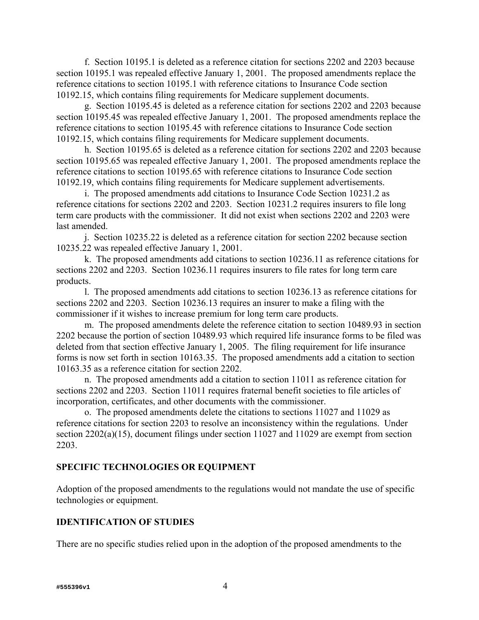f. Section 10195.1 is deleted as a reference citation for sections 2202 and 2203 because section 10195.1 was repealed effective January 1, 2001. The proposed amendments replace the reference citations to section 10195.1 with reference citations to Insurance Code section 10192.15, which contains filing requirements for Medicare supplement documents.

 g. Section 10195.45 is deleted as a reference citation for sections 2202 and 2203 because section 10195.45 was repealed effective January 1, 2001. The proposed amendments replace the reference citations to section 10195.45 with reference citations to Insurance Code section 10192.15, which contains filing requirements for Medicare supplement documents.

 h. Section 10195.65 is deleted as a reference citation for sections 2202 and 2203 because section 10195.65 was repealed effective January 1, 2001. The proposed amendments replace the reference citations to section 10195.65 with reference citations to Insurance Code section 10192.19, which contains filing requirements for Medicare supplement advertisements.

 i. The proposed amendments add citations to Insurance Code Section 10231.2 as reference citations for sections 2202 and 2203. Section 10231.2 requires insurers to file long term care products with the commissioner. It did not exist when sections 2202 and 2203 were last amended.

 j. Section 10235.22 is deleted as a reference citation for section 2202 because section 10235.22 was repealed effective January 1, 2001.

 k. The proposed amendments add citations to section 10236.11 as reference citations for sections 2202 and 2203. Section 10236.11 requires insurers to file rates for long term care products.

 l. The proposed amendments add citations to section 10236.13 as reference citations for sections 2202 and 2203. Section 10236.13 requires an insurer to make a filing with the commissioner if it wishes to increase premium for long term care products.

 m. The proposed amendments delete the reference citation to section 10489.93 in section 2202 because the portion of section 10489.93 which required life insurance forms to be filed was deleted from that section effective January 1, 2005. The filing requirement for life insurance forms is now set forth in section 10163.35. The proposed amendments add a citation to section 10163.35 as a reference citation for section 2202.

 n. The proposed amendments add a citation to section 11011 as reference citation for sections 2202 and 2203. Section 11011 requires fraternal benefit societies to file articles of incorporation, certificates, and other documents with the commissioner.

 o. The proposed amendments delete the citations to sections 11027 and 11029 as reference citations for section 2203 to resolve an inconsistency within the regulations. Under section 2202(a)(15), document filings under section 11027 and 11029 are exempt from section 2203.

#### **SPECIFIC TECHNOLOGIES OR EQUIPMENT**

Adoption of the proposed amendments to the regulations would not mandate the use of specific technologies or equipment.

#### **IDENTIFICATION OF STUDIES**

There are no specific studies relied upon in the adoption of the proposed amendments to the